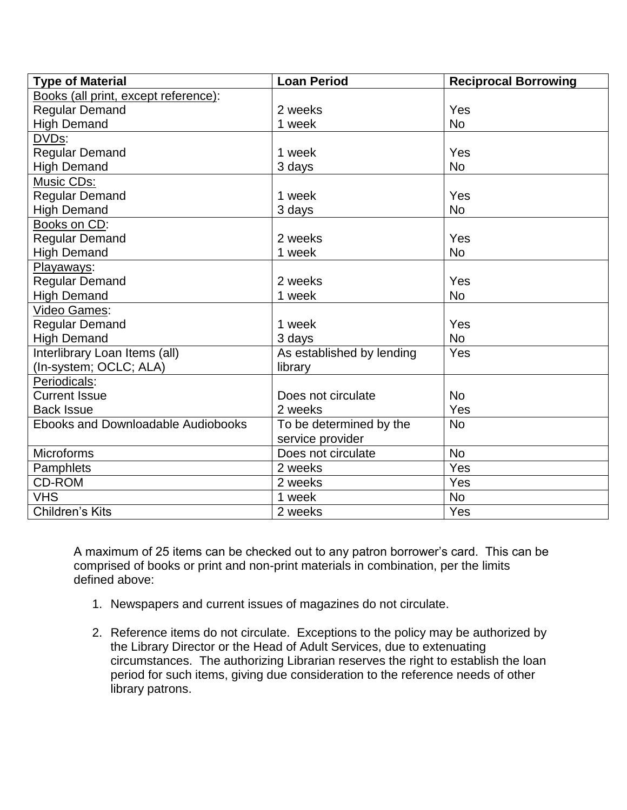| <b>Type of Material</b>                   | <b>Loan Period</b>        | <b>Reciprocal Borrowing</b> |
|-------------------------------------------|---------------------------|-----------------------------|
| Books (all print, except reference):      |                           |                             |
| <b>Regular Demand</b>                     | 2 weeks                   | Yes                         |
| <b>High Demand</b>                        | 1 week                    | <b>No</b>                   |
| DVD <sub>S</sub> :                        |                           |                             |
| <b>Regular Demand</b>                     | 1 week                    | Yes                         |
| <b>High Demand</b>                        | 3 days                    | <b>No</b>                   |
| Music CDs:                                |                           |                             |
| <b>Regular Demand</b>                     | 1 week                    | Yes                         |
| <b>High Demand</b>                        | 3 days                    | <b>No</b>                   |
| Books on CD:                              |                           |                             |
| <b>Regular Demand</b>                     | 2 weeks                   | Yes                         |
| <b>High Demand</b>                        | 1 week                    | <b>No</b>                   |
| Playaways:                                |                           |                             |
| <b>Regular Demand</b>                     | 2 weeks                   | Yes                         |
| <b>High Demand</b>                        | 1 week                    | <b>No</b>                   |
| Video Games:                              |                           |                             |
| <b>Regular Demand</b>                     | 1 week                    | Yes                         |
| <b>High Demand</b>                        | 3 days                    | <b>No</b>                   |
| <b>Interlibrary Loan Items (all)</b>      | As established by lending | Yes                         |
| (In-system; OCLC; ALA)                    | library                   |                             |
| Periodicals:                              |                           |                             |
| <b>Current Issue</b>                      | Does not circulate        | <b>No</b>                   |
| <b>Back Issue</b>                         | 2 weeks                   | Yes                         |
| <b>Ebooks and Downloadable Audiobooks</b> | To be determined by the   | <b>No</b>                   |
|                                           | service provider          |                             |
| Microforms                                | Does not circulate        | <b>No</b>                   |
| Pamphlets                                 | 2 weeks                   | Yes                         |
| <b>CD-ROM</b>                             | 2 weeks                   | Yes                         |
| <b>VHS</b>                                | 1 week                    | <b>No</b>                   |
| Children's Kits                           | 2 weeks                   | Yes                         |

A maximum of 25 items can be checked out to any patron borrower's card. This can be comprised of books or print and non-print materials in combination, per the limits defined above:

- 1. Newspapers and current issues of magazines do not circulate.
- 2. Reference items do not circulate. Exceptions to the policy may be authorized by the Library Director or the Head of Adult Services, due to extenuating circumstances. The authorizing Librarian reserves the right to establish the loan period for such items, giving due consideration to the reference needs of other library patrons.